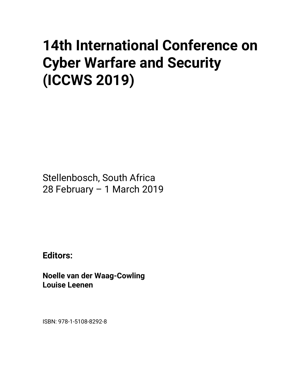# **14th International Conference on Cyber Warfare and Security (ICCWS 2019)**

Stellenbosch, South Africa 28 February – 1 March 2019

**Editors:** 

**Noelle van der Waag-Cowling Louise Leenen** 

ISBN: 978-1-5108-8292-8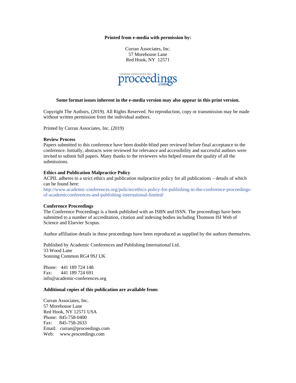### **Printed from e-media with permission by:**

Curran Associates, Inc. 57 Morehouse Lane Red Hook, NY 12571



#### **Some format issues inherent in the e-media version may also appear in this print version.**

Copyright The Authors, (2019). All Rights Reserved. No reproduction, copy or transmission may be made without written permission from the individual authors.

Printed by Curran Associates, Inc. (2019)

#### **Review Process**

Papers submitted to this conference have been double-blind peer reviewed before final acceptance to the conference. Initially, abstracts were reviewed for relevance and accessibility and successful authors were invited to submit full papers. Many thanks to the reviewers who helped ensure the quality of all the submissions.

# **Ethics and Publication Malpractice Policy**

ACPIL adheres to a strict ethics and publication malpractice policy for all publications – details of which can be found here:

http://www.academic-conferences.org/policies/ethics-policy-for-publishing-in-the-conference-proceedingsof-academicconferences-and-publishing-international-limited/

#### **Conference Proceedings**

The Conference Proceedings is a book published with an ISBN and ISSN. The proceedings have been submitted to a number of accreditation, citation and indexing bodies including Thomson ISI Web of Science and Elsevier Scopus.

Author affiliation details in these proceedings have been reproduced as supplied by the authors themselves.

Published by Academic Conferences and Publishing International Ltd. 33 Wood Lane Sonning Common RG4 9SJ UK

Phone: 441 189 724 148 Fax: 441 189 724 691 info@academic-conferences.org

# **Additional copies of this publication are available from:**

Curran Associates, Inc. 57 Morehouse Lane Red Hook, NY 12571 USA Phone: 845-758-0400 Fax: 845-758-2633 Email: curran@proceedings.com Web: www.proceedings.com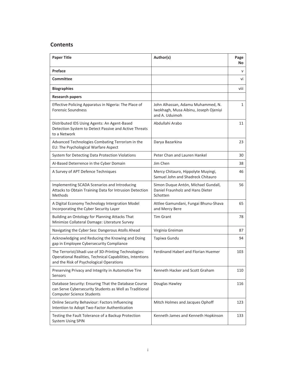# **Contents**

| <b>Paper Title</b>                                                                                                                                             | Author(s)                                                                                    | Page<br>No |
|----------------------------------------------------------------------------------------------------------------------------------------------------------------|----------------------------------------------------------------------------------------------|------------|
| Preface                                                                                                                                                        |                                                                                              | V          |
| <b>Committee</b>                                                                                                                                               |                                                                                              | vi         |
| <b>Biographies</b>                                                                                                                                             |                                                                                              | viii       |
| <b>Research papers</b>                                                                                                                                         |                                                                                              |            |
| Effective Policing Apparatus in Nigeria: The Place of<br><b>Forensic Soundness</b>                                                                             | John Alhassan, Adamu Muhammed, N.<br>Iwokhagh, Musa Aibinu, Joseph Ojeniyi<br>and A. Uduimoh | 1          |
| Distributed IDS Using Agents: An Agent-Based<br>Detection System to Detect Passive and Active Threats<br>to a Network                                          | Abdullahi Arabo                                                                              | 11         |
| Advanced Technologies Combating Terrorism in the<br>EU: The Psychological Warfare Aspect                                                                       | Darya Bazarkina                                                                              | 23         |
| System for Detecting Data Protection Violations                                                                                                                | Peter Chan and Lauren Hankel                                                                 | 30         |
| Al-Based Deterrence in the Cyber Domain                                                                                                                        | Jim Chen                                                                                     | 38         |
| A Survey of APT Defence Techniques                                                                                                                             | Mercy Chitauro, Hippolyte Muyingi,<br>Samuel John and Shadreck Chitauro                      | 46         |
| Implementing SCADA Scenarios and Introducing<br>Attacks to Obtain Training Data for Intrusion Detection<br>Methods                                             | Simon Duque Antón, Michael Gundall,<br>Daniel Fraunholz and Hans Dieter<br>Schotten          | 56         |
| A Digital Economy Technology Intergration Model<br>Incorporating the Cyber Security Layer                                                                      | Attlee Gamundani, Fungai Bhunu-Shava<br>and Mercy Bere                                       | 65         |
| Building an Ontology for Planning Attacks That<br>Minimize Collateral Damage: Literature Survey                                                                | <b>Tim Grant</b>                                                                             | 78         |
| Navigating the Cyber Sea: Dangerous Atolls Ahead                                                                                                               | Virginia Greiman                                                                             | 87         |
| Acknowledging and Reducing the Knowing and Doing<br>gap in Employee Cybersecurity Compliance                                                                   | Tapiwa Gundu                                                                                 | 94         |
| The Terrorist/Jihadi use of 3D-Printing Technologies:<br>Operational Realities, Technical Capabilities, Intentions<br>and the Risk of Psychological Operations | Ferdinand Haberl and Florian Huemer                                                          | 103        |
| Preserving Privacy and Integrity in Automotive Tire<br>Sensors                                                                                                 | Kenneth Hacker and Scott Graham                                                              | 110        |
| Database Security: Ensuring That the Database Course<br>can Serve Cybersecurity Students as Well as Traditional<br><b>Computer Science Students</b>            | Douglas Hawley                                                                               | 116        |
| <b>Online Security Behaviour: Factors Influencing</b><br>Intention to Adopt Two-Factor Authentication                                                          | Mitch Holmes and Jacques Ophoff                                                              | 123        |
| Testing the Fault Tolerance of a Backup Protection<br><b>System Using SPIN</b>                                                                                 | Kenneth James and Kenneth Hopkinson                                                          | 133        |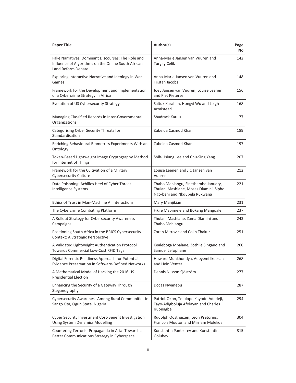| <b>Paper Title</b>                                                                                                              | Author(s)                                                                                                      | Page<br>No |
|---------------------------------------------------------------------------------------------------------------------------------|----------------------------------------------------------------------------------------------------------------|------------|
| Fake Narratives, Dominant Discourses: The Role and<br>Influence of Algorithms on the Online South African<br>Land Reform Debate | Anna-Marie Jansen van Vuuren and<br><b>Turgay Celik</b>                                                        | 142        |
| Exploring Interactive Narrative and Ideology in War<br>Games                                                                    | Anna-Marie Jansen van Vuuren and<br><b>Tristan Jacobs</b>                                                      | 148        |
| Framework for the Development and Implementation<br>of a Cybercrime Strategy in Africa                                          | Joey Jansen van Vuuren, Louise Leenen<br>and Piet Pieterse                                                     | 156        |
| Evolution of US Cybersecurity Strategy                                                                                          | Saltuk Karahan, Hongyi Wu and Leigh<br>Armistead                                                               | 168        |
| Managing Classified Records in Inter-Governmental<br>Organizations                                                              | Shadrack Katuu                                                                                                 | 177        |
| Categorising Cyber Security Threats for<br>Standardisation                                                                      | Zubeida Casmod Khan                                                                                            | 189        |
| Enriching Behavioural Biometrics Experiments With an<br>Ontology                                                                | Zubeida Casmod Khan                                                                                            | 197        |
| Token-Based Lightweight Image Cryptography Method<br>for Internet of Things                                                     | Shih-Hsiung Lee and Chu-Sing Yang                                                                              | 207        |
| Framework for the Cultivation of a Military<br><b>Cybersecurity Culture</b>                                                     | Louise Leenen and J.C Jansen van<br>Vuuren                                                                     | 212        |
| Data Poisoning: Achilles Heel of Cyber Threat<br>Intelligence Systems                                                           | Thabo Mahlangu, Sinethemba January,<br>Thulani Mashiane, Moses Dlamini, Sipho<br>Ngo-beni and Nkqubela Ruxwana | 221        |
| Ethics of Trust in Man-Machine AI Interactions                                                                                  | Mary Manjikian                                                                                                 | 231        |
| The Cybercrime Combating Platform                                                                                               | Fikile Mapimele and Bokang Mangoale                                                                            | 237        |
| A Rollout Strategy for Cybersecurity Awareness<br>Campaigns                                                                     | Thulani Mashiane, Zama Dlamini and<br>Thabo Mahlangu                                                           | 243        |
| Positioning South Africa in the BRICS Cybersecurity<br>Context: A Strategic Perspective                                         | <b>Zoran Mitrovic and Colin Thakur</b>                                                                         | 251        |
| A Validated Lightweight Authentication Protocol<br><b>Towards Commercial Low-Cost RFID Tags</b>                                 | Kealeboga Mpalane, Zothile Singano and<br>Samuel Lefophane                                                     | 260        |
| Digital Forensic Readiness Approach for Potential<br><b>Evidence Preservation in Software-Defined Networks</b>                  | Howard Munkhondya, Adeyemi Ikuesan<br>and Hein Venter                                                          | 268        |
| A Mathematical Model of Hacking the 2016 US<br><b>Presidential Election</b>                                                     | Dennis Nilsson Sjöström                                                                                        | 277        |
| Enhancing the Security of a Gateway Through<br>Steganography                                                                    | Docas Nwanebu                                                                                                  | 287        |
| Cybersecurity Awareness Among Rural Communities in<br>Sango Ota, Ogun State, Nigeria                                            | Patrick Okon, Tolulope Kayode-Adedeji,<br>Tayo-Adigboluja Afolayan and Charles<br>Iruonagbe                    | 294        |
| Cyber Security Investment Cost-Benefit Investigation<br><b>Using System Dynamics Modelling</b>                                  | Rudolph Oosthuizen, Leon Pretorius,<br>Francois Mouton and Mirriam Molekoa                                     | 304        |
| Countering Terrorist Propaganda in Asia: Towards a<br>Better Communications Strategy in Cyberspace                              | Konstantin Pantserev and Konstantin<br>Golubev                                                                 | 315        |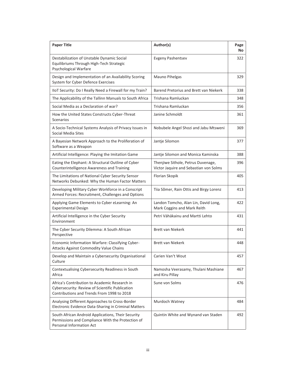| <b>Paper Title</b>                                                                                                                             | Author(s)                                                                    | Page<br>No |
|------------------------------------------------------------------------------------------------------------------------------------------------|------------------------------------------------------------------------------|------------|
| Destabilization of Unstable Dynamic Social<br>Equilibriums Through High-Tech Strategic<br>Psychological Warfare                                | <b>Evgeny Pashentsev</b>                                                     | 322        |
| Design and Implementation of an Availability Scoring<br>System for Cyber Defence Exercises                                                     | Mauno Pihelgas                                                               | 329        |
| IIoT Security: Do I Really Need a Firewall for my Train?                                                                                       | Barend Pretorius and Brett van Niekerk                                       | 338        |
| The Applicability of the Tallinn Manuals to South Africa                                                                                       | Trishana Ramluckan                                                           | 348        |
| Social Media as a Declaration of war?                                                                                                          | Trishana Ramluckan                                                           | 356        |
| How the United States Constructs Cyber-Threat<br><b>Scenarios</b>                                                                              | Janine Schmoldt                                                              | 361        |
| A Socio-Technical Systems Analysis of Privacy Issues in<br>Social Media Sites                                                                  | Nobubele Angel Shozi and Jabu Mtsweni                                        | 369        |
| A Bayesian Network Approach to the Proliferation of<br>Software as a Weapon                                                                    | Jantje Silomon                                                               | 377        |
| Artificial Intelligence: Playing the Imitation Game                                                                                            | Jantje Silomon and Monica Kaminska                                           | 388        |
| Eating the Elephant: A Structural Outline of Cyber<br>Counterintelligence Awareness and Training                                               | Thenjiwe Sithole, Petrus Duvenage,<br>Victor Jaquire and Sebastian von Solms | 396        |
| The Limitations of National Cyber Security Sensor<br>Networks Debunked: Why the Human Factor Matters                                           | Florian Skopik                                                               | 405        |
| Developing Military Cyber Workforce in a Conscript<br>Armed Forces: Recruitment, Challenges and Options                                        | Tiia Sõmer, Rain Ottis and Birgy Lorenz                                      | 413        |
| Applying Game Elements to Cyber eLearning: An<br><b>Experimental Design</b>                                                                    | Landon Tomcho, Alan Lin, David Long,<br>Mark Coggins and Mark Reith          | 422        |
| Artificial Intelligence in the Cyber Security<br>Environment                                                                                   | Petri Vähäkainu and Martti Lehto                                             | 431        |
| The Cyber Security Dilemma: A South African<br>Perspective                                                                                     | <b>Brett van Niekerk</b>                                                     | 441        |
| Economic Information Warfare: Classifying Cyber-<br>Attacks Against Commodity Value Chains                                                     | <b>Brett van Niekerk</b>                                                     | 448        |
| Develop and Maintain a Cybersecurity Organisational<br>Culture                                                                                 | Carien Van't Wout                                                            | 457        |
| Contextualising Cybersecurity Readiness in South<br>Africa                                                                                     | Namosha Veerasamy, Thulani Mashiane<br>and Kiru Pillay                       | 467        |
| Africa's Contribution to Academic Research in<br>Cybersecurity: Review of Scientific Publication<br>Contributions and Trends From 1998 to 2018 | Sune von Solms                                                               | 476        |
| Analysing Different Approaches to Cross-Border<br>Electronic Evidence Data-Sharing in Criminal Matters                                         | Murdoch Watney                                                               | 484        |
| South African Android Applications, Their Security<br>Permissions and Compliance With the Protection of<br>Personal Information Act            | Quintin White and Wynand van Staden                                          | 492        |